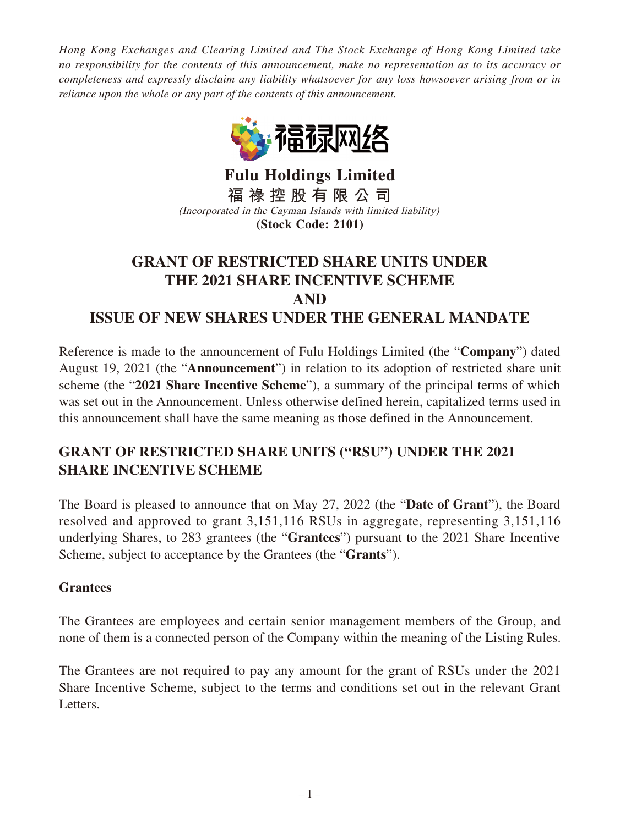*Hong Kong Exchanges and Clearing Limited and The Stock Exchange of Hong Kong Limited take no responsibility for the contents of this announcement, make no representation as to its accuracy or completeness and expressly disclaim any liability whatsoever for any loss howsoever arising from or in reliance upon the whole or any part of the contents of this announcement.*



**Fulu Holdings Limited 福 祿 控 股 有 限 公 司** (Incorporated in the Cayman Islands with limited liability) **(Stock Code: 2101)**

# **GRANT OF RESTRICTED SHARE UNITS UNDER THE 2021 SHARE INCENTIVE SCHEME AND ISSUE OF NEW SHARES UNDER THE GENERAL MANDATE**

Reference is made to the announcement of Fulu Holdings Limited (the "**Company**") dated August 19, 2021 (the "**Announcement**") in relation to its adoption of restricted share unit scheme (the "**2021 Share Incentive Scheme**"), a summary of the principal terms of which was set out in the Announcement. Unless otherwise defined herein, capitalized terms used in this announcement shall have the same meaning as those defined in the Announcement.

## **GRANT OF RESTRICTED SHARE UNITS ("RSU") UNDER THE 2021 SHARE INCENTIVE SCHEME**

The Board is pleased to announce that on May 27, 2022 (the "**Date of Grant**"), the Board resolved and approved to grant 3,151,116 RSUs in aggregate, representing 3,151,116 underlying Shares, to 283 grantees (the "**Grantees**") pursuant to the 2021 Share Incentive Scheme, subject to acceptance by the Grantees (the "**Grants**").

#### **Grantees**

The Grantees are employees and certain senior management members of the Group, and none of them is a connected person of the Company within the meaning of the Listing Rules.

The Grantees are not required to pay any amount for the grant of RSUs under the 2021 Share Incentive Scheme, subject to the terms and conditions set out in the relevant Grant Letters.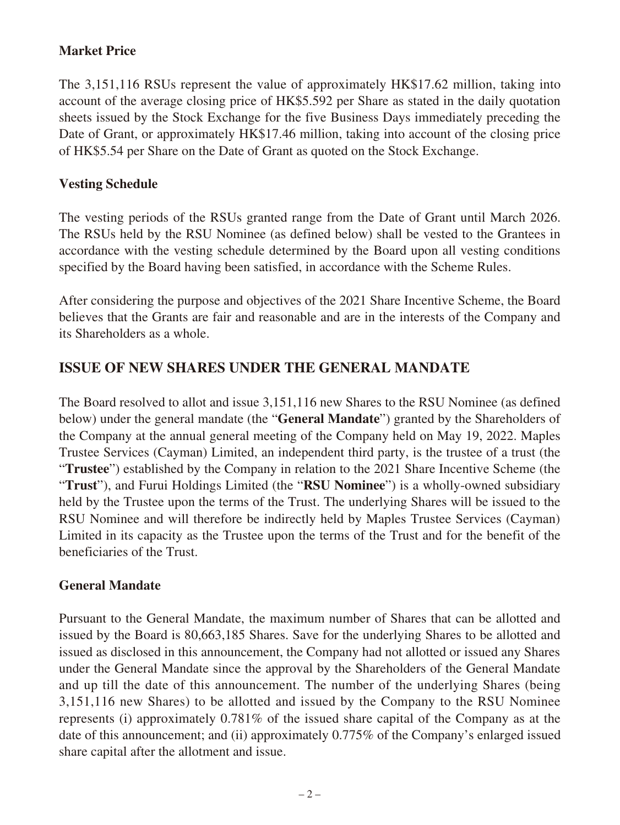### **Market Price**

The 3,151,116 RSUs represent the value of approximately HK\$17.62 million, taking into account of the average closing price of HK\$5.592 per Share as stated in the daily quotation sheets issued by the Stock Exchange for the five Business Days immediately preceding the Date of Grant, or approximately HK\$17.46 million, taking into account of the closing price of HK\$5.54 per Share on the Date of Grant as quoted on the Stock Exchange.

#### **Vesting Schedule**

The vesting periods of the RSUs granted range from the Date of Grant until March 2026. The RSUs held by the RSU Nominee (as defined below) shall be vested to the Grantees in accordance with the vesting schedule determined by the Board upon all vesting conditions specified by the Board having been satisfied, in accordance with the Scheme Rules.

After considering the purpose and objectives of the 2021 Share Incentive Scheme, the Board believes that the Grants are fair and reasonable and are in the interests of the Company and its Shareholders as a whole.

## **ISSUE OF NEW SHARES UNDER THE GENERAL MANDATE**

The Board resolved to allot and issue 3,151,116 new Shares to the RSU Nominee (as defined below) under the general mandate (the "**General Mandate**") granted by the Shareholders of the Company at the annual general meeting of the Company held on May 19, 2022. Maples Trustee Services (Cayman) Limited, an independent third party, is the trustee of a trust (the "**Trustee**") established by the Company in relation to the 2021 Share Incentive Scheme (the "**Trust**"), and Furui Holdings Limited (the "**RSU Nominee**") is a wholly-owned subsidiary held by the Trustee upon the terms of the Trust. The underlying Shares will be issued to the RSU Nominee and will therefore be indirectly held by Maples Trustee Services (Cayman) Limited in its capacity as the Trustee upon the terms of the Trust and for the benefit of the beneficiaries of the Trust.

### **General Mandate**

Pursuant to the General Mandate, the maximum number of Shares that can be allotted and issued by the Board is 80,663,185 Shares. Save for the underlying Shares to be allotted and issued as disclosed in this announcement, the Company had not allotted or issued any Shares under the General Mandate since the approval by the Shareholders of the General Mandate and up till the date of this announcement. The number of the underlying Shares (being 3,151,116 new Shares) to be allotted and issued by the Company to the RSU Nominee represents (i) approximately 0.781% of the issued share capital of the Company as at the date of this announcement; and (ii) approximately 0.775% of the Company's enlarged issued share capital after the allotment and issue.